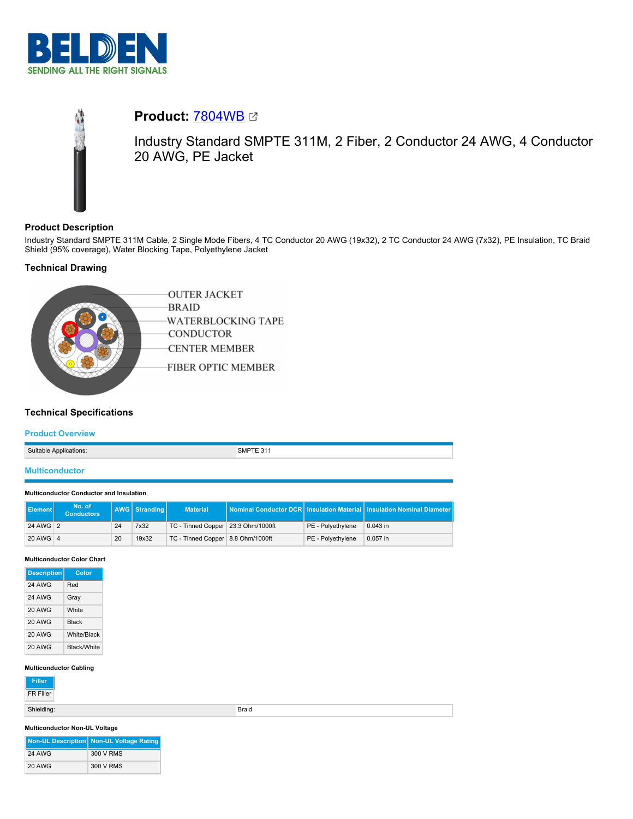



# **Product:** [7804WB](https://catalog.belden.com/index.cfm?event=pd&p=PF_7804WB&tab=downloads)

Industry Standard SMPTE 311M, 2 Fiber, 2 Conductor 24 AWG, 4 Conductor 20 AWG, PE Jacket

# **Product Description**

Industry Standard SMPTE 311M Cable, 2 Single Mode Fibers, 4 TC Conductor 20 AWG (19x32), 2 TC Conductor 24 AWG (7x32), PE Insulation, TC Braid Shield (95% coverage), Water Blocking Tape, Polyethylene Jacket

# **Technical Drawing**



# **Technical Specifications**

### **Product Overview**

| Suitable<br>: Applications: | יועור |
|-----------------------------|-------|
|                             |       |

### **Multiconductor**

#### **Multiconductor Conductor and Insulation**

| <b>I</b> Element | No. of<br><b>Conductors</b> |    | <b>AWG</b> Stranding | <b>Material</b>                    |                   | Nominal Conductor DCR Insulation Material Insulation Nominal Diameter |
|------------------|-----------------------------|----|----------------------|------------------------------------|-------------------|-----------------------------------------------------------------------|
| 24 AWG 2         |                             | 24 | 7x32                 | TC - Tinned Copper 23.3 Ohm/1000ft | PE - Polyethylene | $0.043$ in                                                            |
| 20 AWG 4         |                             | 20 | 19x32                | TC - Tinned Copper 8.8 Ohm/1000ft  | PE - Polvethylene | 0.057 in                                                              |

#### **Multiconductor Color Chart**

| <b>Description</b> | Color              |
|--------------------|--------------------|
| <b>24 AWG</b>      | Red                |
| <b>24 AWG</b>      | Gray               |
| 20 AWG             | White              |
| 20 AWG             | <b>Black</b>       |
| 20 AWG             | White/Black        |
| 20 AWG             | <b>Black/White</b> |

#### **Multiconductor Cabling**

| Filler |
|--------|
|        |

FR Filler

Shielding: Braid

#### **Multiconductor Non-UL Voltage**

|               | Non-UL Description Non-UL Voltage Rating |
|---------------|------------------------------------------|
| <b>24 AWG</b> | 300 V RMS                                |
| <b>20 AWG</b> | 300 V RMS                                |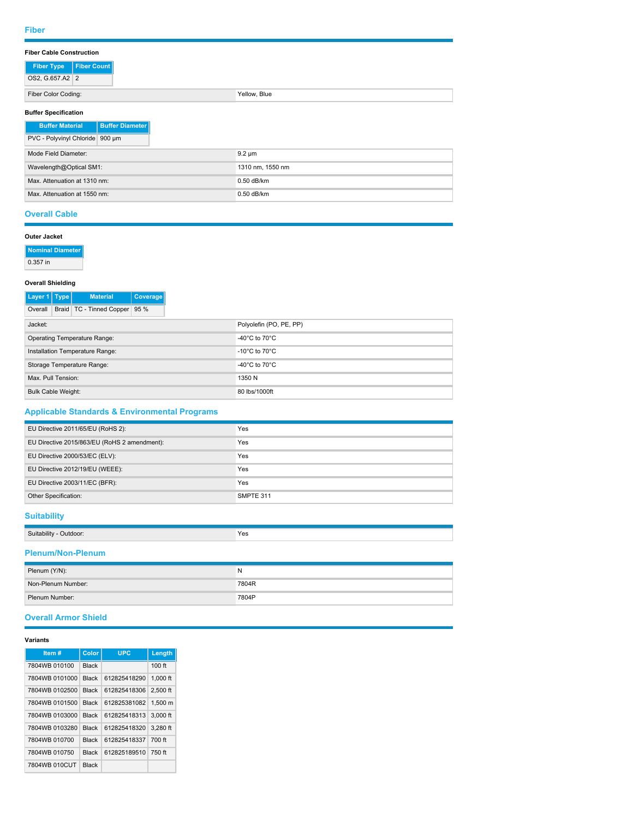### **Fiber Cable Construction**

| <b>Fiber Count</b><br><b>Fiber Type</b>          |                  |  |  |  |  |
|--------------------------------------------------|------------------|--|--|--|--|
| OS2, G.657.A2 2                                  |                  |  |  |  |  |
| Fiber Color Coding:                              | Yellow, Blue     |  |  |  |  |
| <b>Buffer Specification</b>                      |                  |  |  |  |  |
| <b>Buffer Diameter</b><br><b>Buffer Material</b> |                  |  |  |  |  |
| PVC - Polyvinyl Chloride 900 um                  |                  |  |  |  |  |
| Mode Field Diameter:                             | $9.2 \mu m$      |  |  |  |  |
| Wavelength@Optical SM1:                          | 1310 nm, 1550 nm |  |  |  |  |
| Max. Attenuation at 1310 nm:                     | 0.50 dB/km       |  |  |  |  |

### **Overall Cable**

| Outer Jacket             |                                                  |                                     |                 |                                     |
|--------------------------|--------------------------------------------------|-------------------------------------|-----------------|-------------------------------------|
|                          | Nominal Diameter                                 |                                     |                 |                                     |
| $0.357$ in               |                                                  |                                     |                 |                                     |
| <b>Overall Shielding</b> |                                                  |                                     |                 |                                     |
| Layer 1 Type             |                                                  | <b>Material</b>                     | <b>Coverage</b> |                                     |
| Overall                  |                                                  | Braid   TC - Tinned Copper   95 %   |                 |                                     |
| Jacket:                  |                                                  |                                     |                 | Polyolefin (PO, PE, PP)             |
|                          |                                                  | <b>Operating Temperature Range:</b> |                 | -40 $^{\circ}$ C to 70 $^{\circ}$ C |
|                          | Installation Temperature Range:                  |                                     |                 | -10 $^{\circ}$ C to 70 $^{\circ}$ C |
|                          | Storage Temperature Range:<br>Max. Pull Tension: |                                     |                 | -40 $^{\circ}$ C to 70 $^{\circ}$ C |
|                          |                                                  |                                     |                 | 1350 N                              |

| <b>Applicable Standards &amp; Environmental Programs</b> |                    |  |  |
|----------------------------------------------------------|--------------------|--|--|
| EU Directive 2011/65/EU (RoHS 2):                        | Yes                |  |  |
| EU Directive 2015/863/EU (RoHS 2 amendment):             | Yes                |  |  |
| $E11$ Diractive 2000/52/EC (ELV).                        | $V_{\alpha\alpha}$ |  |  |

Max. Attenuation at 1550 nm: 0.50 dB/km

Bulk Cable Weight: 80 lbs/1000ft

| Other Specification:            | SMPTE 311 |
|---------------------------------|-----------|
| EU Directive 2003/11/EC (BFR):  | Yes       |
| EU Directive 2012/19/EU (WEEE): | Yes       |
| EU DIRCUVE ZUUU/SS/EU (ELV).    | res       |

### **Suitability**

| $C_{11}$<br>' ITAOOL<br>а ни г | Yes<br>$\cdot$ $\sim$ $\sim$ |
|--------------------------------|------------------------------|
|                                |                              |

### **Plenum/Non-Plenum**

| Plenum (Y/N):      | N     |
|--------------------|-------|
| Non-Plenum Number: | 7804R |
| Plenum Number:     | 7804P |

 $\overline{\phantom{a}}$ 

### **Overall Armor Shield**

#### **Variants**

| Item#          | Color        | <b>UPC</b>   | Length     |
|----------------|--------------|--------------|------------|
| 7804WB 010100  | <b>Black</b> |              | 100 ft     |
| 7804WB 0101000 | <b>Black</b> | 612825418290 | $1.000$ ft |
| 7804WB 0102500 | <b>Black</b> | 612825418306 | 2.500 ft   |
| 7804WB 0101500 | <b>Black</b> | 612825381082 | 1.500 m    |
| 7804WB 0103000 | <b>Black</b> | 612825418313 | 3.000 ft   |
| 7804WB 0103280 | <b>Black</b> | 612825418320 | 3.280 ft   |
| 7804WB 010700  | <b>Black</b> | 612825418337 | 700 ft     |
| 7804WB 010750  | <b>Black</b> | 612825189510 | 750 ft     |
| 7804WB 010CUT  | <b>Black</b> |              |            |